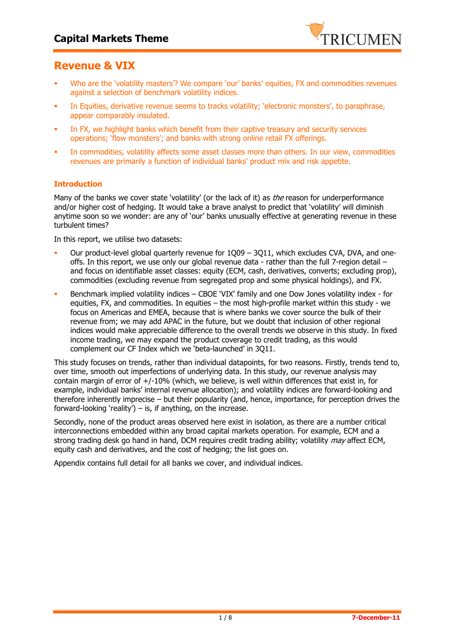

# **Revenue & VIX**

- Who are the 'volatility masters'? We compare 'our' banks' equities, FX and commodities revenues against a selection of benchmark volatility indices.
- In Equities, derivative revenue seems to tracks volatility; 'electronic monsters', to paraphrase, appear comparably insulated.
- In FX, we highlight banks which benefit from their captive treasury and security services operations; 'flow monsters'; and banks with strong online retail FX offerings.
- In commodities, volatility affects some asset classes more than others. In our view, commodities revenues are primarily a function of individual banks' product mix and risk appetite.

### **Introduction**

Many of the banks we cover state 'volatility' (or the lack of it) as *the* reason for underperformance and/or higher cost of hedging. It would take a brave analyst to predict that 'volatility' will diminish anytime soon so we wonder: are any of 'our' banks unusually effective at generating revenue in these turbulent times?

In this report, we utilise two datasets:

- Our product-level global quarterly revenue for 1Q09 3Q11, which excludes CVA, DVA, and oneoffs. In this report, we use only our global revenue data - rather than the full 7-region detail – and focus on identifiable asset classes: equity (ECM, cash, derivatives, converts; excluding prop), commodities (excluding revenue from segregated prop and some physical holdings), and FX.
- Benchmark implied volatility indices CBOE 'VIX' family and one Dow Jones volatility index for equities, FX, and commodities. In equities – the most high-profile market within this study - we focus on Americas and EMEA, because that is where banks we cover source the bulk of their revenue from; we may add APAC in the future, but we doubt that inclusion of other regional indices would make appreciable difference to the overall trends we observe in this study. In fixed income trading, we may expand the product coverage to credit trading, as this would complement our CF Index which we 'beta-launched' in 3Q11.

This study focuses on trends, rather than individual datapoints, for two reasons. Firstly, trends tend to, over time, smooth out imperfections of underlying data. In this study, our revenue analysis may contain margin of error of +/-10% (which, we believe, is well within differences that exist in, for example, individual banks' internal revenue allocation); and volatility indices are forward-looking and therefore inherently imprecise – but their popularity (and, hence, importance, for perception drives the forward-looking 'reality')  $-$  is, if anything, on the increase.

Secondly, none of the product areas observed here exist in isolation, as there are a number critical interconnections embedded within any broad capital markets operation. For example, ECM and a strong trading desk go hand in hand, DCM requires credit trading ability; volatility may affect ECM, equity cash and derivatives, and the cost of hedging; the list goes on.

Appendix contains full detail for all banks we cover, and individual indices.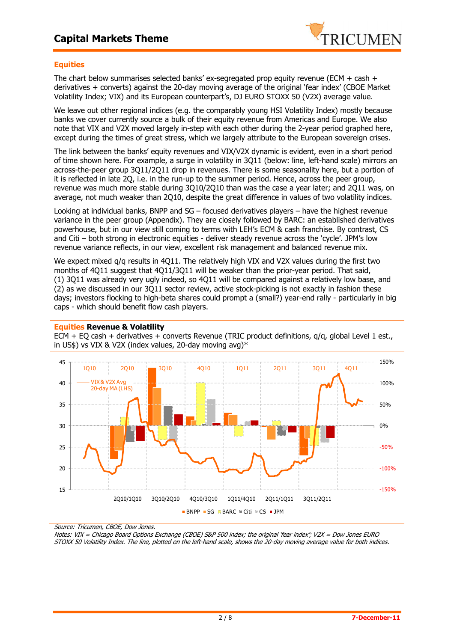

### **Equities**

The chart below summarises selected banks' ex-segregated prop equity revenue (ECM + cash + derivatives + converts) against the 20-day moving average of the original 'fear index' (CBOE Market Volatility Index; VIX) and its European counterpart's, DJ EURO STOXX 50 (V2X) average value.

We leave out other regional indices (e.g. the comparably young HSI Volatility Index) mostly because banks we cover currently source a bulk of their equity revenue from Americas and Europe. We also note that VIX and V2X moved largely in-step with each other during the 2-year period graphed here, except during the times of great stress, which we largely attribute to the European sovereign crises.

The link between the banks' equity revenues and VIX/V2X dynamic is evident, even in a short period of time shown here. For example, a surge in volatility in 3Q11 (below: line, left-hand scale) mirrors an across-the-peer group 3Q11/2Q11 drop in revenues. There is some seasonality here, but a portion of it is reflected in late 2Q, i.e. in the run-up to the summer period. Hence, across the peer group, revenue was much more stable during 3Q10/2Q10 than was the case a year later; and 2Q11 was, on average, not much weaker than 2Q10, despite the great difference in values of two volatility indices.

Looking at individual banks, BNPP and SG – focused derivatives players – have the highest revenue variance in the peer group (Appendix). They are closely followed by BARC: an established derivatives powerhouse, but in our view still coming to terms with LEH's ECM & cash franchise. By contrast, CS and Citi – both strong in electronic equities - deliver steady revenue across the 'cycle'. JPM's low revenue variance reflects, in our view, excellent risk management and balanced revenue mix.

We expect mixed q/q results in 4Q11. The relatively high VIX and V2X values during the first two months of 4Q11 suggest that 4Q11/3Q11 will be weaker than the prior-year period. That said, (1) 3Q11 was already very ugly indeed, so 4Q11 will be compared against a relatively low base, and (2) as we discussed in our 3Q11 sector review, active stock-picking is not exactly in fashion these days; investors flocking to high-beta shares could prompt a (small?) year-end rally - particularly in big caps - which should benefit flow cash players.



#### **Equities Revenue & Volatility**

ECM + EQ cash + derivatives + converts Revenue (TRIC product definitions, q/q, global Level 1 est., in US\$) vs VIX & V2X (index values, 20-day moving avg)\*

Source: Tricumen, CBOE, Dow Jones.

Notes: VIX = Chicago Board Options Exchange (CBOE) S&P 500 index; the original 'fear index'; V2X = Dow Jones EURO STOXX 50 Volatility Index. The line, plotted on the left-hand scale, shows the 20-day moving average value for both indices.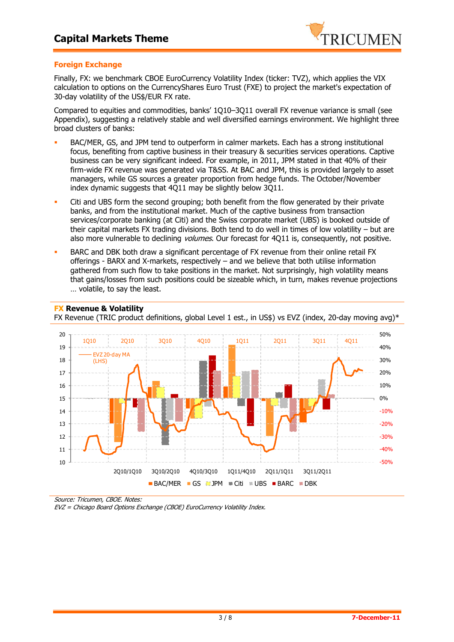

### **Foreign Exchange**

Finally, FX: we benchmark CBOE EuroCurrency Volatility Index (ticker: TVZ), which applies the VIX calculation to options on the CurrencyShares Euro Trust (FXE) to project the market's expectation of 30-day volatility of the US\$/EUR FX rate.

Compared to equities and commodities, banks' 1Q10–3Q11 overall FX revenue variance is small (see Appendix), suggesting a relatively stable and well diversified earnings environment. We highlight three broad clusters of banks:

- BAC/MER, GS, and JPM tend to outperform in calmer markets. Each has a strong institutional focus, benefiting from captive business in their treasury & securities services operations. Captive business can be very significant indeed. For example, in 2011, JPM stated in that 40% of their firm-wide FX revenue was generated via T&SS. At BAC and JPM, this is provided largely to asset managers, while GS sources a greater proportion from hedge funds. The October/November index dynamic suggests that 4Q11 may be slightly below 3Q11.
- Citi and UBS form the second grouping; both benefit from the flow generated by their private banks, and from the institutional market. Much of the captive business from transaction services/corporate banking (at Citi) and the Swiss corporate market (UBS) is booked outside of their capital markets FX trading divisions. Both tend to do well in times of low volatility – but are also more vulnerable to declining *volumes*. Our forecast for 4011 is, consequently, not positive.
- BARC and DBK both draw a significant percentage of FX revenue from their online retail FX offerings - BARX and X-markets, respectively – and we believe that both utilise information gathered from such flow to take positions in the market. Not surprisingly, high volatility means that gains/losses from such positions could be sizeable which, in turn, makes revenue projections … volatile, to say the least.



#### **FX Revenue & Volatility**

FX Revenue (TRIC product definitions, global Level 1 est., in US\$) vs EVZ (index, 20-day moving avg)\*

Source: Tricumen, CBOE. Notes:

EVZ = Chicago Board Options Exchange (CBOE) EuroCurrency Volatility Index.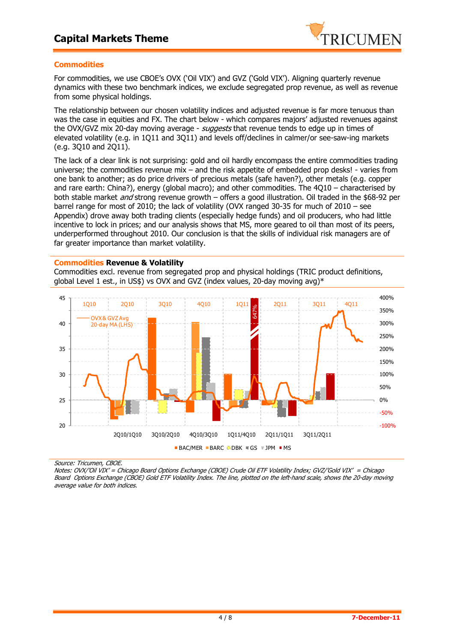

### **Commodities**

For commodities, we use CBOE's OVX ('Oil VIX') and GVZ ('Gold VIX'). Aligning quarterly revenue dynamics with these two benchmark indices, we exclude segregated prop revenue, as well as revenue from some physical holdings.

The relationship between our chosen volatility indices and adjusted revenue is far more tenuous than was the case in equities and FX. The chart below - which compares majors' adjusted revenues against the OVX/GVZ mix 20-day moving average - suggests that revenue tends to edge up in times of elevated volatility (e.g. in 1Q11 and 3Q11) and levels off/declines in calmer/or see-saw-ing markets (e.g. 3Q10 and 2Q11).

The lack of a clear link is not surprising: gold and oil hardly encompass the entire commodities trading universe; the commodities revenue mix – and the risk appetite of embedded prop desks! - varies from one bank to another; as do price drivers of precious metals (safe haven?), other metals (e.g. copper and rare earth: China?), energy (global macro); and other commodities. The 4Q10 – characterised by both stable market *and* strong revenue growth – offers a good illustration. Oil traded in the \$68-92 per barrel range for most of 2010; the lack of volatility (OVX ranged 30-35 for much of 2010 – see Appendix) drove away both trading clients (especially hedge funds) and oil producers, who had little incentive to lock in prices; and our analysis shows that MS, more geared to oil than most of its peers, underperformed throughout 2010. Our conclusion is that the skills of individual risk managers are of far greater importance than market volatility.

#### **Commodities Revenue & Volatility**

Commodities excl. revenue from segregated prop and physical holdings (TRIC product definitions, global Level 1 est., in US\$) vs OVX and GVZ (index values, 20-day moving avg)\*



Source: Tricumen, CBOE.

Notes: OVX/'Oil VIX' = Chicago Board Options Exchange (CBOE) Crude Oil ETF Volatility Index; GVZ/'Gold VIX' = Chicago Board Options Exchange (CBOE) Gold ETF Volatility Index. The line, plotted on the left-hand scale, shows the 20-day moving average value for both indices.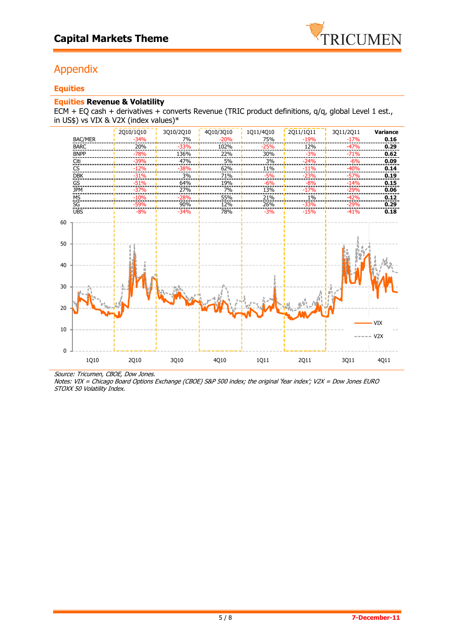

# Appendix

# **Equities**

## **Equities Revenue & Volatility**

ECM + EQ cash + derivatives + converts Revenue (TRIC product definitions,  $q/q$ , global Level 1 est., in US\$) vs VIX & V2X (index values)\*



Source: Tricumen, CBOE, Dow Jones.

Notes: VIX = Chicago Board Options Exchange (CBOE) S&P 500 index; the original 'fear index'; V2X = Dow Jones EURO STOXX 50 Volatility Index.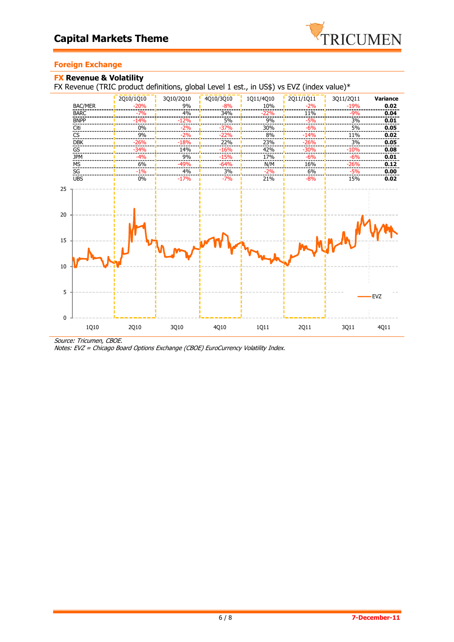

# **Foreign Exchange**

## **FX Revenue & Volatility**  FX Revenue (TRIC product definitions, global Level 1 est., in US\$) vs EVZ (index value)\*



Source: Tricumen, CBOE.

Notes: EVZ = Chicago Board Options Exchange (CBOE) EuroCurrency Volatility Index.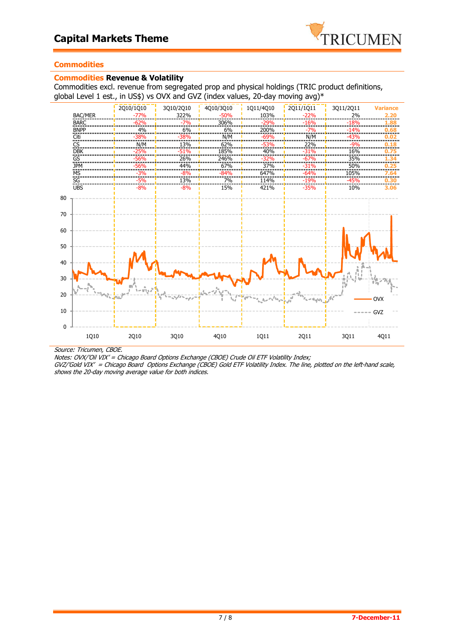

## **Commodities**

### **Commodities Revenue & Volatility**

Commodities excl. revenue from segregated prop and physical holdings (TRIC product definitions, global Level 1 est., in US\$) vs OVX and GVZ (index values, 20-day moving avg)\*



Source: Tricumen, CBOE.

GVZ/'Gold VIX' = Chicago Board Options Exchange (CBOE) Gold ETF Volatility Index. The line, plotted on the left-hand scale, shows the 20-day moving average value for both indices.

Notes: OVX/'Oil VIX' = Chicago Board Options Exchange (CBOE) Crude Oil ETF Volatility Index;